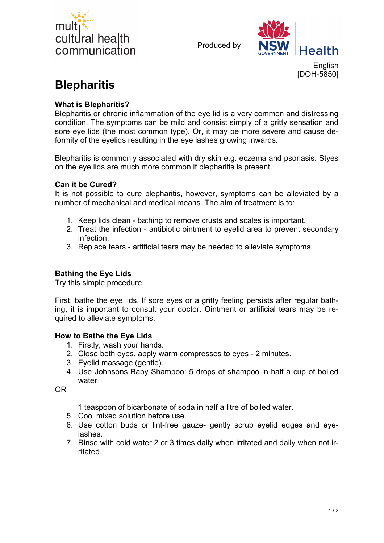

Produced by



English [DOH-5850]

# **Blepharitis**

## **What is Blepharitis?**

Blepharitis or chronic inflammation of the eye lid is a very common and distressing condition. The symptoms can be mild and consist simply of a gritty sensation and sore eye lids (the most common type). Or, it may be more severe and cause deformity of the eyelids resulting in the eye lashes growing inwards.

Blepharitis is commonly associated with dry skin e.g. eczema and psoriasis. Styes on the eye lids are much more common if blepharitis is present.

### **Can it be Cured?**

It is not possible to cure blepharitis, however, symptoms can be alleviated by a number of mechanical and medical means. The aim of treatment is to:

- 1. Keep lids clean bathing to remove crusts and scales is important.
- 2. Treat the infection antibiotic ointment to eyelid area to prevent secondary infection.
- 3. Replace tears artificial tears may be needed to alleviate symptoms.

## **Bathing the Eye Lids**

Try this simple procedure.

First, bathe the eye lids. If sore eyes or a gritty feeling persists after regular bathing, it is important to consult your doctor. Ointment or artificial tears may be required to alleviate symptoms.

### **How to Bathe the Eye Lids**

- 1. Firstly, wash your hands.
- 2. Close both eyes, apply warm compresses to eyes 2 minutes.
- 3. Eyelid massage (gentle).
- 4. Use Johnsons Baby Shampoo: 5 drops of shampoo in half a cup of boiled water

OR

1 teaspoon of bicarbonate of soda in half a litre of boiled water.

- 5. Cool mixed solution before use.
- 6. Use cotton buds or lint-free gauze- gently scrub eyelid edges and eyelashes.
- 7. Rinse with cold water 2 or 3 times daily when irritated and daily when not irritated.